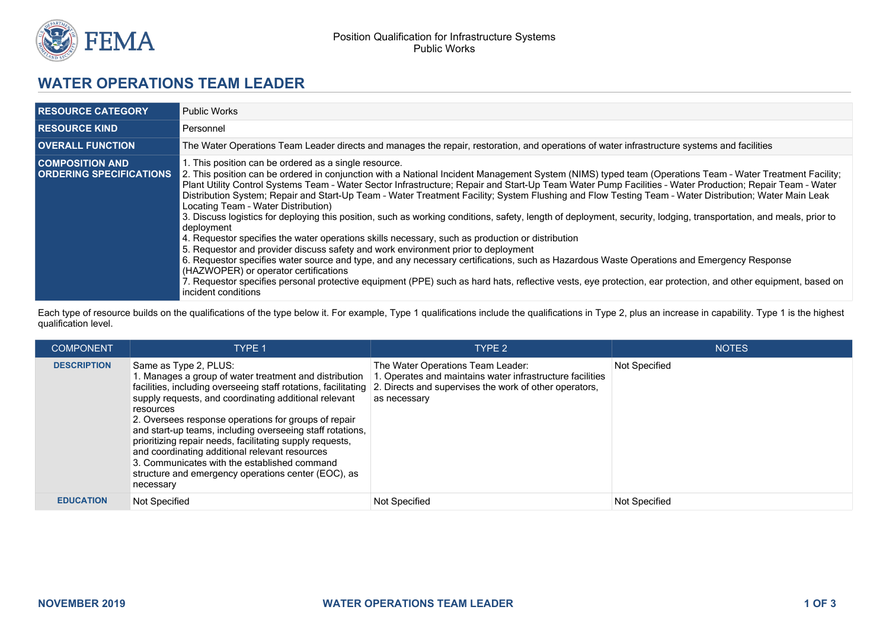

## **WATER OPERATIONS TEAM LEADER**

| <b>RESOURCE CATEGORY</b>                                 | <b>Public Works</b>                                                                                                                                                                                                                                                                                                                                                                                                                                                                                                                                                                                                                                                                                                                                                                                                                                                                                                                                                                                                                                                                                                                                                                                                                                                                                                                      |
|----------------------------------------------------------|------------------------------------------------------------------------------------------------------------------------------------------------------------------------------------------------------------------------------------------------------------------------------------------------------------------------------------------------------------------------------------------------------------------------------------------------------------------------------------------------------------------------------------------------------------------------------------------------------------------------------------------------------------------------------------------------------------------------------------------------------------------------------------------------------------------------------------------------------------------------------------------------------------------------------------------------------------------------------------------------------------------------------------------------------------------------------------------------------------------------------------------------------------------------------------------------------------------------------------------------------------------------------------------------------------------------------------------|
| <b>RESOURCE KIND</b>                                     | Personnel                                                                                                                                                                                                                                                                                                                                                                                                                                                                                                                                                                                                                                                                                                                                                                                                                                                                                                                                                                                                                                                                                                                                                                                                                                                                                                                                |
| <b>OVERALL FUNCTION</b>                                  | The Water Operations Team Leader directs and manages the repair, restoration, and operations of water infrastructure systems and facilities                                                                                                                                                                                                                                                                                                                                                                                                                                                                                                                                                                                                                                                                                                                                                                                                                                                                                                                                                                                                                                                                                                                                                                                              |
| <b>COMPOSITION AND</b><br><b>ORDERING SPECIFICATIONS</b> | 1. This position can be ordered as a single resource.<br>2. This position can be ordered in conjunction with a National Incident Management System (NIMS) typed team (Operations Team - Water Treatment Facility;<br>Plant Utility Control Systems Team - Water Sector Infrastructure; Repair and Start-Up Team Water Pump Facilities - Water Production; Repair Team - Water<br>Distribution System; Repair and Start-Up Team - Water Treatment Facility; System Flushing and Flow Testing Team - Water Distribution; Water Main Leak<br>Locating Team - Water Distribution)<br>3. Discuss logistics for deploying this position, such as working conditions, safety, length of deployment, security, lodging, transportation, and meals, prior to<br>deployment<br>4. Requestor specifies the water operations skills necessary, such as production or distribution<br>5. Requestor and provider discuss safety and work environment prior to deployment<br>6. Requestor specifies water source and type, and any necessary certifications, such as Hazardous Waste Operations and Emergency Response<br>(HAZWOPER) or operator certifications<br>7. Requestor specifies personal protective equipment (PPE) such as hard hats, reflective vests, eye protection, ear protection, and other equipment, based on<br>incident conditions |

Each type of resource builds on the qualifications of the type below it. For example, Type 1 qualifications include the qualifications in Type 2, plus an increase in capability. Type 1 is the highest qualification level.

| <b>COMPONENT</b>   | TYPE 1                                                                                                                                                                                                                                                                                                                                                                                                                                                                                                                                                                        | TYPE 2                                                                                                                                                                  | <b>NOTES</b>  |
|--------------------|-------------------------------------------------------------------------------------------------------------------------------------------------------------------------------------------------------------------------------------------------------------------------------------------------------------------------------------------------------------------------------------------------------------------------------------------------------------------------------------------------------------------------------------------------------------------------------|-------------------------------------------------------------------------------------------------------------------------------------------------------------------------|---------------|
| <b>DESCRIPTION</b> | Same as Type 2, PLUS:<br>. Manages a group of water treatment and distribution<br>facilities, including overseeing staff rotations, facilitating<br>supply requests, and coordinating additional relevant<br>resources<br>2. Oversees response operations for groups of repair<br>and start-up teams, including overseeing staff rotations,<br>prioritizing repair needs, facilitating supply requests,<br>and coordinating additional relevant resources<br>3. Communicates with the established command<br>structure and emergency operations center (EOC), as<br>necessary | The Water Operations Team Leader:<br>. Operates and maintains water infrastructure facilities<br>2. Directs and supervises the work of other operators,<br>as necessary | Not Specified |
| <b>EDUCATION</b>   | Not Specified                                                                                                                                                                                                                                                                                                                                                                                                                                                                                                                                                                 | Not Specified                                                                                                                                                           | Not Specified |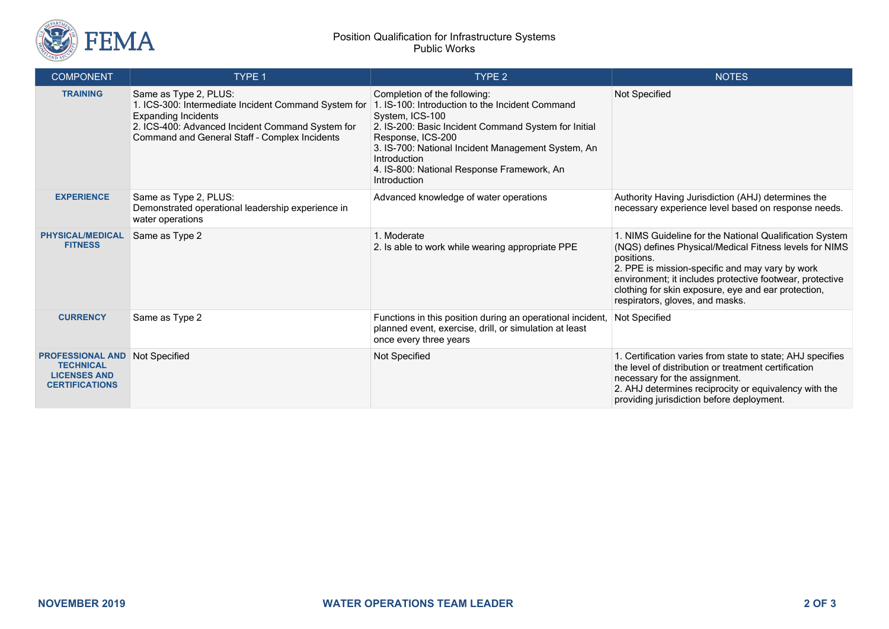

## Position Qualification for Infrastructure Systems Public Works

| <b>COMPONENT</b>                                                                            | <b>TYPE 1</b>                                                                                                                                                                                                    | TYPE <sub>2</sub>                                                                                                                                                                                                                                                                                                   | <b>NOTES</b>                                                                                                                                                                                                                                                                                                                             |
|---------------------------------------------------------------------------------------------|------------------------------------------------------------------------------------------------------------------------------------------------------------------------------------------------------------------|---------------------------------------------------------------------------------------------------------------------------------------------------------------------------------------------------------------------------------------------------------------------------------------------------------------------|------------------------------------------------------------------------------------------------------------------------------------------------------------------------------------------------------------------------------------------------------------------------------------------------------------------------------------------|
| <b>TRAINING</b>                                                                             | Same as Type 2, PLUS:<br>1. ICS-300: Intermediate Incident Command System for<br><b>Expanding Incidents</b><br>2. ICS-400: Advanced Incident Command System for<br>Command and General Staff - Complex Incidents | Completion of the following:<br>1. IS-100: Introduction to the Incident Command<br>System, ICS-100<br>2. IS-200: Basic Incident Command System for Initial<br>Response, ICS-200<br>3. IS-700: National Incident Management System, An<br>Introduction<br>4. IS-800: National Response Framework, An<br>Introduction | Not Specified                                                                                                                                                                                                                                                                                                                            |
| <b>EXPERIENCE</b>                                                                           | Same as Type 2, PLUS:<br>Demonstrated operational leadership experience in<br>water operations                                                                                                                   | Advanced knowledge of water operations                                                                                                                                                                                                                                                                              | Authority Having Jurisdiction (AHJ) determines the<br>necessary experience level based on response needs.                                                                                                                                                                                                                                |
| <b>PHYSICAL/MEDICAL</b><br><b>FITNESS</b>                                                   | Same as Type 2                                                                                                                                                                                                   | 1. Moderate<br>2. Is able to work while wearing appropriate PPE                                                                                                                                                                                                                                                     | 1. NIMS Guideline for the National Qualification System<br>(NQS) defines Physical/Medical Fitness levels for NIMS<br>positions.<br>2. PPE is mission-specific and may vary by work<br>environment; it includes protective footwear, protective<br>clothing for skin exposure, eye and ear protection,<br>respirators, gloves, and masks. |
| <b>CURRENCY</b>                                                                             | Same as Type 2                                                                                                                                                                                                   | Functions in this position during an operational incident,<br>planned event, exercise, drill, or simulation at least<br>once every three years                                                                                                                                                                      | Not Specified                                                                                                                                                                                                                                                                                                                            |
| <b>PROFESSIONAL AND</b><br><b>TECHNICAL</b><br><b>LICENSES AND</b><br><b>CERTIFICATIONS</b> | Not Specified                                                                                                                                                                                                    | Not Specified                                                                                                                                                                                                                                                                                                       | 1. Certification varies from state to state; AHJ specifies<br>the level of distribution or treatment certification<br>necessary for the assignment.<br>2. AHJ determines reciprocity or equivalency with the<br>providing jurisdiction before deployment.                                                                                |